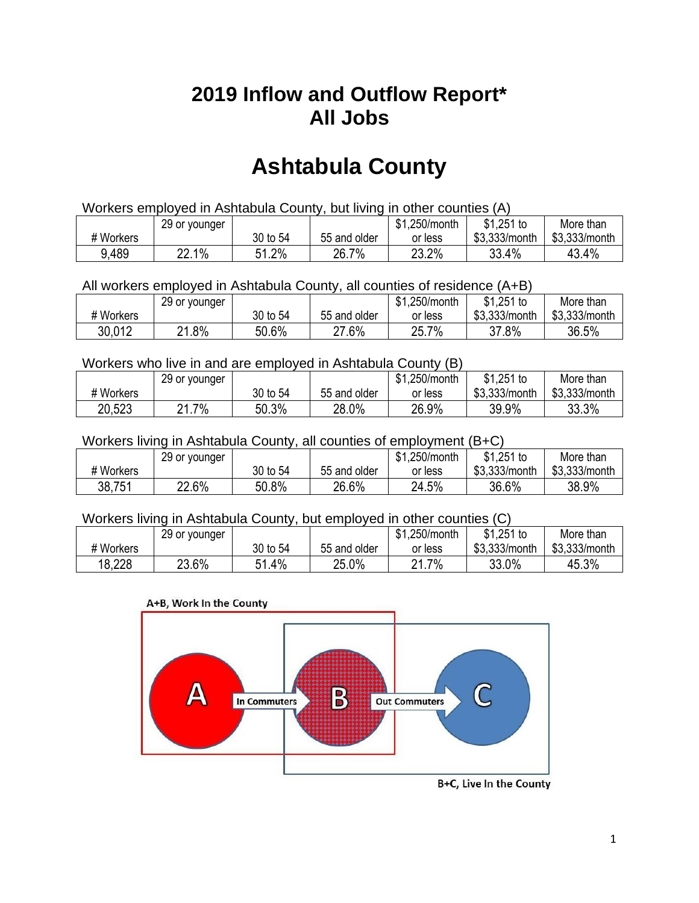## **2019 Inflow and Outflow Report\* All Jobs**

# **Ashtabula County**

| Workers employed in Ashtabula County, but living in other counties (A) |                                                            |          |              |         |               |               |  |  |  |
|------------------------------------------------------------------------|------------------------------------------------------------|----------|--------------|---------|---------------|---------------|--|--|--|
|                                                                        | $$1,251$ to<br>\$1,250/month<br>More than<br>29 or younger |          |              |         |               |               |  |  |  |
| # Workers                                                              |                                                            | 30 to 54 | 55 and older | or less | \$3.333/month | \$3,333/month |  |  |  |
| 9,489                                                                  | 22.1%                                                      | 51.2%    | 26.7%        | 23.2%   | 33.4%         | 43.4%         |  |  |  |

All workers employed in Ashtabula County, all counties of residence (A+B)

|           | 29 or younger |          |              | \$1,250/month | \$1,251 to    | More than     |
|-----------|---------------|----------|--------------|---------------|---------------|---------------|
| # Workers |               | 30 to 54 | 55 and older | or less       | \$3,333/month | \$3,333/month |
| 30,012    | .8%<br>ດ4     | 50.6%    | 27.6%        | 25.7%         | 37.8%         | 36.5%         |

#### Workers who live in and are employed in Ashtabula County (B)

|           | 29 or younger        |          |              | \$1,250/month | $$1,251$ to   | More than     |
|-----------|----------------------|----------|--------------|---------------|---------------|---------------|
| # Workers |                      | 30 to 54 | 55 and older | or less       | \$3,333/month | \$3,333/month |
| 20,523    | . 7%<br>$\mathbf{a}$ | 50.3%    | 28.0%        | 26.9%         | 39.9%         | 33.3%         |

#### Workers living in Ashtabula County, all counties of employment (B+C)

|           | 29 or younger |          |              | \$1,250/month | $$1,251$ to   | More than     |
|-----------|---------------|----------|--------------|---------------|---------------|---------------|
| # Workers |               | 30 to 54 | 55 and older | or less       | \$3,333/month | \$3,333/month |
| 38,751    | 22.6%         | 50.8%    | 26.6%        | 24.5%         | 36.6%         | 38.9%         |

#### Workers living in Ashtabula County, but employed in other counties (C)

|           | 29 or younger |               |              | \$1,250/month    | \$1,251 to    | More than     |
|-----------|---------------|---------------|--------------|------------------|---------------|---------------|
| # Workers |               | 30 to 54      | 55 and older | or less          | \$3,333/month | \$3,333/month |
| 18,228    | 23.6%         | $.4\%$<br>E 1 | 25.0%        | 7%<br>ິດ 4<br>L. | 33.0%         | 45.3%         |



B+C, Live In the County